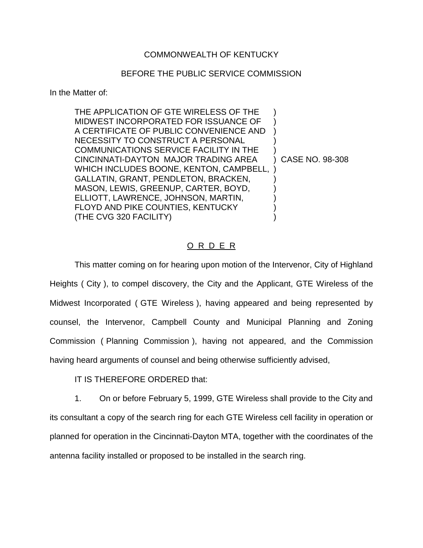## COMMONWEALTH OF KENTUCKY

## BEFORE THE PUBLIC SERVICE COMMISSION

In the Matter of:

| THE APPLICATION OF GTE WIRELESS OF THE<br>MIDWEST INCORPORATED FOR ISSUANCE OF<br>A CERTIFICATE OF PUBLIC CONVENIENCE AND<br>NECESSITY TO CONSTRUCT A PERSONAL<br><b>COMMUNICATIONS SERVICE FACILITY IN THE</b><br>CINCINNATI-DAYTON MAJOR TRADING AREA<br>WHICH INCLUDES BOONE, KENTON, CAMPBELL,<br>GALLATIN, GRANT, PENDLETON, BRACKEN,<br>MASON, LEWIS, GREENUP, CARTER, BOYD, | CASE NO. 98-308 |
|------------------------------------------------------------------------------------------------------------------------------------------------------------------------------------------------------------------------------------------------------------------------------------------------------------------------------------------------------------------------------------|-----------------|
| ELLIOTT, LAWRENCE, JOHNSON, MARTIN,<br>FLOYD AND PIKE COUNTIES, KENTUCKY<br>(THE CVG 320 FACILITY)                                                                                                                                                                                                                                                                                 |                 |

## O R D E R

This matter coming on for hearing upon motion of the Intervenor, City of Highland Heights ( City ), to compel discovery, the City and the Applicant, GTE Wireless of the Midwest Incorporated ( GTE Wireless ), having appeared and being represented by counsel, the Intervenor, Campbell County and Municipal Planning and Zoning Commission ( Planning Commission ), having not appeared, and the Commission having heard arguments of counsel and being otherwise sufficiently advised,

IT IS THEREFORE ORDERED that:

1. On or before February 5, 1999, GTE Wireless shall provide to the City and its consultant a copy of the search ring for each GTE Wireless cell facility in operation or planned for operation in the Cincinnati-Dayton MTA, together with the coordinates of the antenna facility installed or proposed to be installed in the search ring.